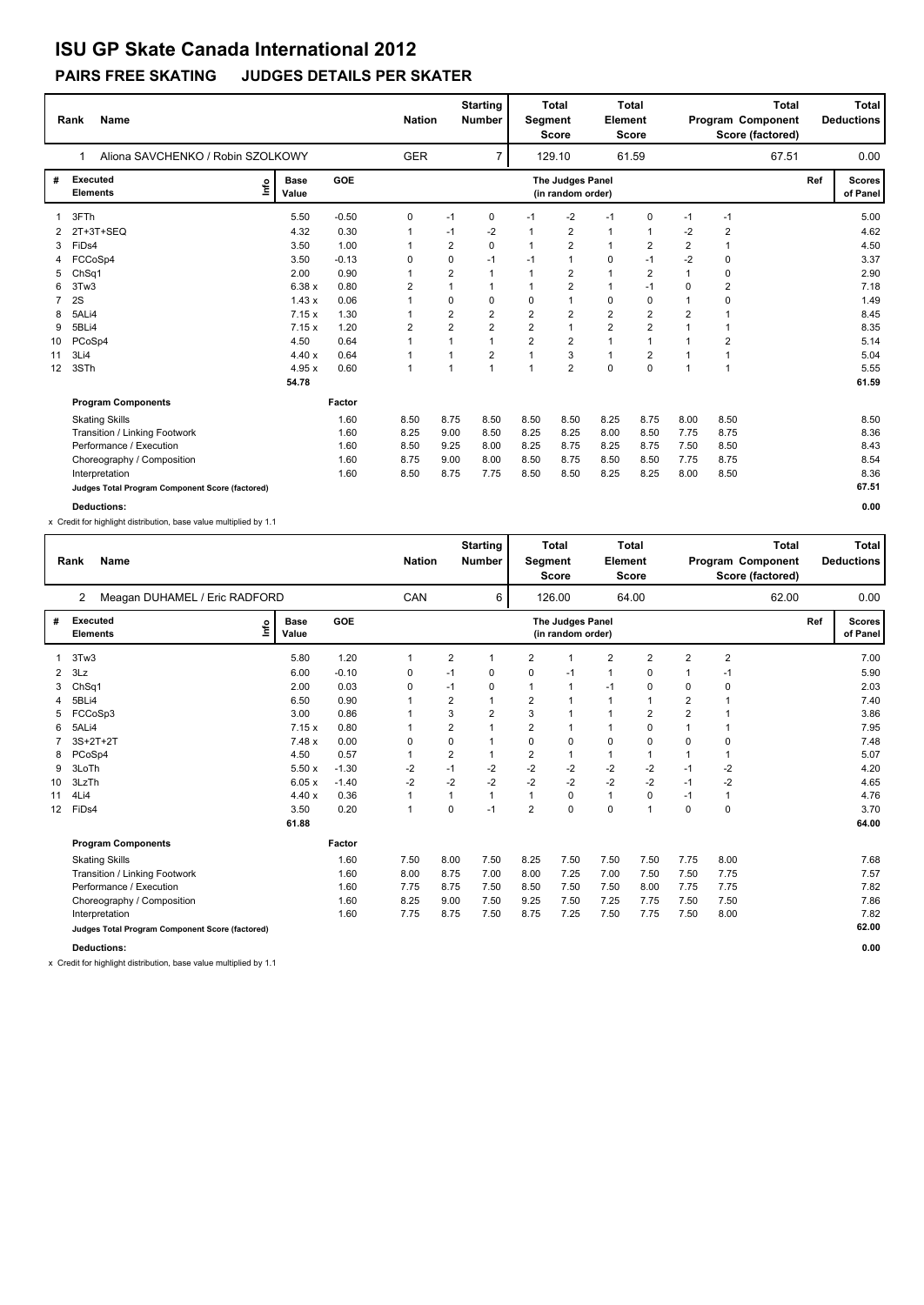### **PAIRS FREE SKATING JUDGES DETAILS PER SKATER**

|                | <b>Name</b><br>Rank                             |                      | <b>Nation</b> | <b>Starting</b><br><b>Number</b> |                |                | <b>Total</b><br><b>Total</b><br>Element<br>Segment<br><b>Score</b><br><b>Score</b> |                                       |                         |                | <b>Total</b><br>Program Component<br>Score (factored) |                | Total<br><b>Deductions</b> |                           |  |
|----------------|-------------------------------------------------|----------------------|---------------|----------------------------------|----------------|----------------|------------------------------------------------------------------------------------|---------------------------------------|-------------------------|----------------|-------------------------------------------------------|----------------|----------------------------|---------------------------|--|
|                | Aliona SAVCHENKO / Robin SZOLKOWY<br>1          |                      |               | <b>GER</b>                       |                | $\overline{7}$ |                                                                                    | 129.10                                |                         | 61.59          |                                                       | 67.51          |                            | 0.00                      |  |
| #              | <b>Executed</b><br>١nf٥<br><b>Elements</b>      | <b>Base</b><br>Value | <b>GOE</b>    |                                  |                |                |                                                                                    | The Judges Panel<br>(in random order) |                         |                |                                                       |                | Ref                        | <b>Scores</b><br>of Panel |  |
|                | 3FTh                                            | 5.50                 | $-0.50$       | 0                                | $-1$           | 0              | $-1$                                                                               | $-2$                                  | $-1$                    | $\Omega$       | $-1$                                                  | $-1$           |                            | 5.00                      |  |
| 2              | 2T+3T+SEQ                                       | 4.32                 | 0.30          |                                  | $-1$           | $-2$           |                                                                                    | $\overline{2}$                        | $\mathbf{1}$            | $\overline{1}$ | $-2$                                                  | $\overline{2}$ |                            | 4.62                      |  |
| 3              | FiD <sub>s4</sub>                               | 3.50                 | 1.00          |                                  | $\overline{2}$ | $\Omega$       | $\mathbf 1$                                                                        | $\overline{2}$                        | $\mathbf{1}$            | $\overline{2}$ | $\overline{2}$                                        | $\overline{1}$ |                            | 4.50                      |  |
| 4              | FCCoSp4                                         | 3.50                 | $-0.13$       | 0                                | 0              | $-1$           | $-1$                                                                               | $\overline{1}$                        | $\mathbf 0$             | $-1$           | $-2$                                                  | $\mathbf 0$    |                            | 3.37                      |  |
| 5              | ChSq1                                           | 2.00                 | 0.90          |                                  | $\overline{2}$ | $\overline{1}$ | $\mathbf{1}$                                                                       | $\overline{2}$                        | $\overline{1}$          | $\overline{2}$ | $\mathbf{1}$                                          | 0              |                            | 2.90                      |  |
| 6              | 3Tw3                                            | 6.38 x               | 0.80          | 2                                | 1              |                |                                                                                    | $\overline{2}$                        | 1                       | $-1$           | 0                                                     | 2              |                            | 7.18                      |  |
| $\overline{7}$ | 2S                                              | 1.43x                | 0.06          |                                  | 0              | 0              | $\mathbf 0$                                                                        | $\overline{1}$                        | $\mathbf 0$             | $\mathbf 0$    | $\mathbf{1}$                                          | $\mathbf 0$    |                            | 1.49                      |  |
| 8              | 5ALi4                                           | 7.15x                | 1.30          |                                  | 2              | $\overline{2}$ | $\overline{2}$                                                                     | $\overline{2}$                        | $\overline{\mathbf{c}}$ | $\overline{2}$ | $\overline{2}$                                        |                |                            | 8.45                      |  |
| 9              | 5BLi4                                           | 7.15x                | 1.20          | 2                                | $\overline{2}$ | $\overline{2}$ | $\overline{2}$                                                                     | $\mathbf{1}$                          | $\overline{2}$          | $\overline{2}$ |                                                       |                |                            | 8.35                      |  |
| 10             | PCoSp4                                          | 4.50                 | 0.64          |                                  |                | $\overline{1}$ | $\overline{2}$                                                                     | $\overline{2}$                        | 1                       | 1              |                                                       | 2              |                            | 5.14                      |  |
| 11             | 3Li4                                            | 4.40x                | 0.64          |                                  |                | $\overline{2}$ |                                                                                    | 3                                     | 1                       | 2              |                                                       | 1              |                            | 5.04                      |  |
| 12             | 3STh                                            | 4.95x                | 0.60          | 1                                |                | $\overline{1}$ | $\overline{1}$                                                                     | $\overline{2}$                        | $\Omega$                | $\Omega$       | $\overline{1}$                                        | $\overline{1}$ |                            | 5.55                      |  |
|                |                                                 | 54.78                |               |                                  |                |                |                                                                                    |                                       |                         |                |                                                       |                |                            | 61.59                     |  |
|                | <b>Program Components</b>                       |                      | Factor        |                                  |                |                |                                                                                    |                                       |                         |                |                                                       |                |                            |                           |  |
|                | <b>Skating Skills</b>                           |                      | 1.60          | 8.50                             | 8.75           | 8.50           | 8.50                                                                               | 8.50                                  | 8.25                    | 8.75           | 8.00                                                  | 8.50           |                            | 8.50                      |  |
|                | <b>Transition / Linking Footwork</b>            |                      | 1.60          | 8.25                             | 9.00           | 8.50           | 8.25                                                                               | 8.25                                  | 8.00                    | 8.50           | 7.75                                                  | 8.75           |                            | 8.36                      |  |
|                | Performance / Execution                         |                      | 1.60          | 8.50                             | 9.25           | 8.00           | 8.25                                                                               | 8.75                                  | 8.25                    | 8.75           | 7.50                                                  | 8.50           |                            | 8.43                      |  |
|                | Choreography / Composition                      |                      | 1.60          | 8.75                             | 9.00           | 8.00           | 8.50                                                                               | 8.75                                  | 8.50                    | 8.50           | 7.75                                                  | 8.75           |                            | 8.54                      |  |
|                | Interpretation                                  |                      | 1.60          | 8.50                             | 8.75           | 7.75           | 8.50                                                                               | 8.50                                  | 8.25                    | 8.25           | 8.00                                                  | 8.50           |                            | 8.36                      |  |
|                | Judges Total Program Component Score (factored) |                      |               |                                  |                |                |                                                                                    |                                       |                         |                |                                                       |                |                            | 67.51                     |  |
|                | <b>Deductions:</b>                              |                      |               |                                  |                |                |                                                                                    |                                       |                         |                |                                                       |                |                            | 0.00                      |  |

x Credit for highlight distribution, base value multiplied by 1.1

|                | Rank<br><b>Name</b>                             |                              |            |              | <b>Total</b><br><b>Starting</b><br><b>Nation</b><br><b>Number</b><br>Segment<br>Score |                |                |                                       | Element        | <b>Total</b><br><b>Score</b> | <b>Total</b><br>Program Component<br>Score (factored) |                         |       |     | <b>Total</b><br><b>Deductions</b> |
|----------------|-------------------------------------------------|------------------------------|------------|--------------|---------------------------------------------------------------------------------------|----------------|----------------|---------------------------------------|----------------|------------------------------|-------------------------------------------------------|-------------------------|-------|-----|-----------------------------------|
|                | Meagan DUHAMEL / Eric RADFORD<br>2              |                              |            | CAN          |                                                                                       | 6              |                | 126.00                                |                | 64.00                        |                                                       |                         | 62.00 |     | 0.00                              |
| #              | <b>Executed</b><br><b>Elements</b>              | <b>Base</b><br>lnfo<br>Value | <b>GOE</b> |              |                                                                                       |                |                | The Judges Panel<br>(in random order) |                |                              |                                                       |                         |       | Ref | <b>Scores</b><br>of Panel         |
|                | 3Tw3                                            | 5.80                         | 1.20       | 1            | $\overline{2}$                                                                        | 1              | $\overline{2}$ |                                       | $\overline{2}$ | $\overline{2}$               | $\overline{2}$                                        | $\overline{\mathbf{c}}$ |       |     | 7.00                              |
| $\overline{2}$ | 3Lz                                             | 6.00                         | $-0.10$    | 0            | $-1$                                                                                  | 0              | 0              | $-1$                                  | 1              | 0                            |                                                       | $-1$                    |       |     | 5.90                              |
| 3              | Ch <sub>Sq1</sub>                               | 2.00                         | 0.03       | 0            | $-1$                                                                                  | 0              | $\mathbf 1$    | $\mathbf 1$                           | $-1$           | 0                            | 0                                                     | 0                       |       |     | 2.03                              |
| 4              | 5BLi4                                           | 6.50                         | 0.90       | 1            | 2                                                                                     | 1              | $\overline{2}$ |                                       | 1              | 1                            | 2                                                     | 1                       |       |     | 7.40                              |
| 5              | FCCoSp3                                         | 3.00                         | 0.86       |              | 3                                                                                     | $\overline{2}$ | 3              |                                       | 1              | $\overline{\mathbf{c}}$      | $\overline{2}$                                        |                         |       |     | 3.86                              |
| 6              | 5ALi4                                           | 7.15x                        | 0.80       | 1            | 2                                                                                     |                | $\overline{2}$ |                                       | 1              | 0                            |                                                       | 1                       |       |     | 7.95                              |
|                | $3S+2T+2T$                                      | 7.48x                        | 0.00       | 0            | 0                                                                                     | 1              | 0              | $\mathbf 0$                           | 0              | 0                            | $\Omega$                                              | 0                       |       |     | 7.48                              |
| 8              | PCoSp4                                          | 4.50                         | 0.57       | 1            | $\overline{2}$                                                                        | 1              | $\overline{2}$ | $\overline{1}$                        | $\mathbf{1}$   | 1                            | 1                                                     | 1                       |       |     | 5.07                              |
| 9              | 3LoTh                                           | 5.50x                        | $-1.30$    | $-2$         | $-1$                                                                                  | $-2$           | $-2$           | $-2$                                  | $-2$           | $-2$                         | $-1$                                                  | $-2$                    |       |     | 4.20                              |
| 10             | 3LzTh                                           | 6.05x                        | $-1.40$    | $-2$         | $-2$                                                                                  | $-2$           | $-2$           | $-2$                                  | $-2$           | $-2$                         | $-1$                                                  | $-2$                    |       |     | 4.65                              |
| 11             | 4Li4                                            | 4.40x                        | 0.36       | 1            | $\overline{1}$                                                                        | $\mathbf{1}$   | $\mathbf{1}$   | 0                                     | $\mathbf{1}$   | 0                            | $-1$                                                  | 1                       |       |     | 4.76                              |
| 12             | FiDs4                                           | 3.50                         | 0.20       | $\mathbf{1}$ | 0                                                                                     | $-1$           | $\overline{2}$ | $\mathbf 0$                           | $\mathbf 0$    | $\mathbf{1}$                 | 0                                                     | 0                       |       |     | 3.70                              |
|                |                                                 | 61.88                        |            |              |                                                                                       |                |                |                                       |                |                              |                                                       |                         |       |     | 64.00                             |
|                | <b>Program Components</b>                       |                              | Factor     |              |                                                                                       |                |                |                                       |                |                              |                                                       |                         |       |     |                                   |
|                | <b>Skating Skills</b>                           |                              | 1.60       | 7.50         | 8.00                                                                                  | 7.50           | 8.25           | 7.50                                  | 7.50           | 7.50                         | 7.75                                                  | 8.00                    |       |     | 7.68                              |
|                | Transition / Linking Footwork                   |                              | 1.60       | 8.00         | 8.75                                                                                  | 7.00           | 8.00           | 7.25                                  | 7.00           | 7.50                         | 7.50                                                  | 7.75                    |       |     | 7.57                              |
|                | Performance / Execution                         |                              | 1.60       | 7.75         | 8.75                                                                                  | 7.50           | 8.50           | 7.50                                  | 7.50           | 8.00                         | 7.75                                                  | 7.75                    |       |     | 7.82                              |
|                | Choreography / Composition                      |                              | 1.60       | 8.25         | 9.00                                                                                  | 7.50           | 9.25           | 7.50                                  | 7.25           | 7.75                         | 7.50                                                  | 7.50                    |       |     | 7.86                              |
|                | Interpretation                                  |                              | 1.60       | 7.75         | 8.75                                                                                  | 7.50           | 8.75           | 7.25                                  | 7.50           | 7.75                         | 7.50                                                  | 8.00                    |       |     | 7.82                              |
|                | Judges Total Program Component Score (factored) |                              |            |              |                                                                                       |                |                |                                       |                |                              |                                                       |                         |       |     | 62.00                             |
|                | <b>Deductions:</b>                              |                              |            |              |                                                                                       |                |                |                                       |                |                              |                                                       |                         |       |     | 0.00                              |

x Credit for highlight distribution, base value multiplied by 1.1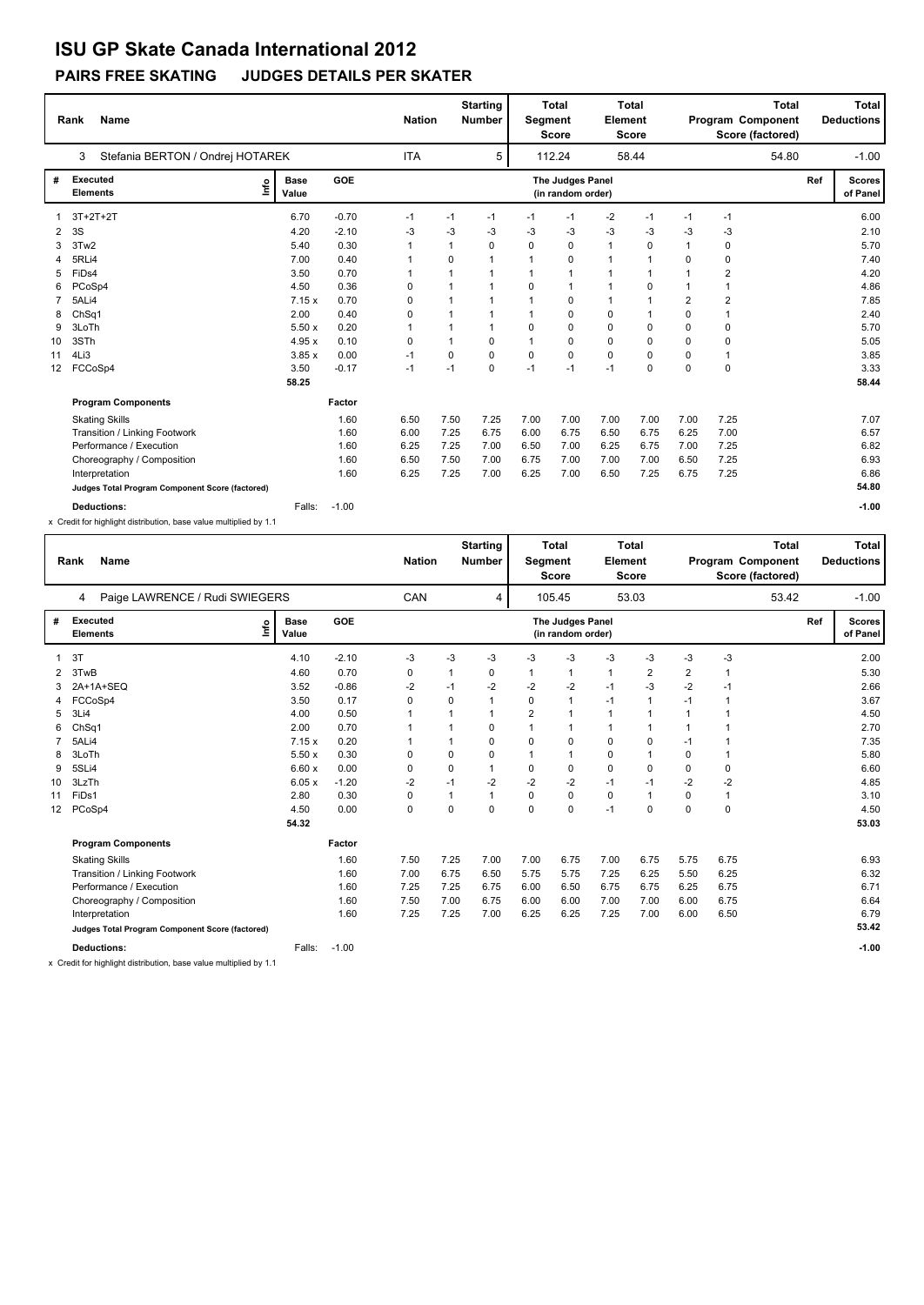### **PAIRS FREE SKATING JUDGES DETAILS PER SKATER**

|                 | <b>Name</b><br>Rank                             |                              |        |         |            | <b>Nation</b> | <b>Starting</b><br><b>Number</b> | Total<br><b>Total</b><br>Segment<br>Element<br><b>Score</b><br><b>Score</b> |                                       |                |              | <b>Total</b><br>Program Component<br>Score (factored) |                |       | Total<br><b>Deductions</b> |                           |
|-----------------|-------------------------------------------------|------------------------------|--------|---------|------------|---------------|----------------------------------|-----------------------------------------------------------------------------|---------------------------------------|----------------|--------------|-------------------------------------------------------|----------------|-------|----------------------------|---------------------------|
|                 | Stefania BERTON / Ondrej HOTAREK<br>3           |                              |        |         | <b>ITA</b> |               | 5                                |                                                                             | 112.24                                |                | 58.44        |                                                       |                | 54.80 |                            | $-1.00$                   |
| #               | <b>Executed</b><br><b>Elements</b>              | <b>Base</b><br>١nf٥<br>Value |        | GOE     |            |               |                                  |                                                                             | The Judges Panel<br>(in random order) |                |              |                                                       |                |       | Ref                        | <b>Scores</b><br>of Panel |
|                 | $3T+2T+2T$                                      | 6.70                         |        | $-0.70$ | $-1$       | $-1$          | $-1$                             | $-1$                                                                        | $-1$                                  | $-2$           | $-1$         | $-1$                                                  | $-1$           |       |                            | 6.00                      |
| 2               | 3S                                              | 4.20                         |        | $-2.10$ | -3         | $-3$          | -3                               | $-3$                                                                        | -3                                    | $-3$           | $-3$         | -3                                                    | $-3$           |       |                            | 2.10                      |
| 3               | 3Tw2                                            | 5.40                         |        | 0.30    |            | 1             | $\Omega$                         | $\Omega$                                                                    | 0                                     | $\mathbf{1}$   | $\Omega$     | $\mathbf{1}$                                          | 0              |       |                            | 5.70                      |
| 4               | 5RLi4                                           | 7.00                         |        | 0.40    |            | 0             | $\mathbf{1}$                     | 1                                                                           | 0                                     | $\overline{1}$ | $\mathbf 1$  | $\Omega$                                              | 0              |       |                            | 7.40                      |
| 5               | FiDs4                                           | 3.50                         |        | 0.70    |            | 1             | $\overline{1}$                   |                                                                             | $\overline{1}$                        | 1              | 1            |                                                       | $\overline{2}$ |       |                            | 4.20                      |
| 6               | PCoSp4                                          | 4.50                         |        | 0.36    | 0          | 1             | $\mathbf{1}$                     | 0                                                                           | $\overline{1}$                        | $\overline{1}$ | 0            |                                                       | 1              |       |                            | 4.86                      |
| $\overline{7}$  | 5ALi4                                           |                              | 7.15x  | 0.70    | 0          | 1             | $\mathbf{1}$                     | $\mathbf{1}$                                                                | 0                                     | $\mathbf{1}$   | $\mathbf{1}$ | $\overline{2}$                                        | $\overline{2}$ |       |                            | 7.85                      |
| 8               | ChSq1                                           | 2.00                         |        | 0.40    | 0          | 1             | $\mathbf{1}$                     | 1                                                                           | 0                                     | 0              | 1            | $\Omega$                                              | 1              |       |                            | 2.40                      |
| 9               | 3LoTh                                           |                              | 5.50x  | 0.20    | 1          | 1             | $\mathbf{1}$                     | $\Omega$                                                                    | 0                                     | 0              | 0            | $\Omega$                                              | 0              |       |                            | 5.70                      |
| 10              | 3STh                                            |                              | 4.95x  | 0.10    | 0          | 1             | $\Omega$                         | 1                                                                           | 0                                     | 0              | $\Omega$     | $\Omega$                                              | 0              |       |                            | 5.05                      |
| 11              | 4Li3                                            |                              | 3.85x  | 0.00    | $-1$       | 0             | $\Omega$                         | $\Omega$                                                                    | $\mathbf 0$                           | 0              | $\Omega$     | $\Omega$                                              | 1              |       |                            | 3.85                      |
| 12 <sup>2</sup> | FCCoSp4                                         | 3.50                         |        | $-0.17$ | $-1$       | $-1$          | $\Omega$                         | $-1$                                                                        | $-1$                                  | $-1$           | 0            | $\Omega$                                              | 0              |       |                            | 3.33                      |
|                 |                                                 | 58.25                        |        |         |            |               |                                  |                                                                             |                                       |                |              |                                                       |                |       |                            | 58.44                     |
|                 | <b>Program Components</b>                       |                              |        | Factor  |            |               |                                  |                                                                             |                                       |                |              |                                                       |                |       |                            |                           |
|                 | <b>Skating Skills</b>                           |                              |        | 1.60    | 6.50       | 7.50          | 7.25                             | 7.00                                                                        | 7.00                                  | 7.00           | 7.00         | 7.00                                                  | 7.25           |       |                            | 7.07                      |
|                 | Transition / Linking Footwork                   |                              |        | 1.60    | 6.00       | 7.25          | 6.75                             | 6.00                                                                        | 6.75                                  | 6.50           | 6.75         | 6.25                                                  | 7.00           |       |                            | 6.57                      |
|                 | Performance / Execution                         |                              |        | 1.60    | 6.25       | 7.25          | 7.00                             | 6.50                                                                        | 7.00                                  | 6.25           | 6.75         | 7.00                                                  | 7.25           |       |                            | 6.82                      |
|                 | Choreography / Composition                      |                              |        | 1.60    | 6.50       | 7.50          | 7.00                             | 6.75                                                                        | 7.00                                  | 7.00           | 7.00         | 6.50                                                  | 7.25           |       |                            | 6.93                      |
|                 | Interpretation                                  |                              |        | 1.60    | 6.25       | 7.25          | 7.00                             | 6.25                                                                        | 7.00                                  | 6.50           | 7.25         | 6.75                                                  | 7.25           |       |                            | 6.86                      |
|                 | Judges Total Program Component Score (factored) |                              |        |         |            |               |                                  |                                                                             |                                       |                |              |                                                       |                |       |                            | 54.80                     |
|                 | <b>Deductions:</b>                              |                              | Falls: | $-1.00$ |            |               |                                  |                                                                             |                                       |                |              |                                                       |                |       |                            | $-1.00$                   |

x Credit for highlight distribution, base value multiplied by 1.1

|                 | <b>Name</b><br>Rank                             |                      |            | <b>Nation</b> |          | <b>Starting</b><br>Number | Segment        | <b>Total</b><br><b>Score</b>          | Element      | <b>Total</b><br>Score |                | <b>Total</b><br>Program Component<br>Score (factored) |     | <b>Total</b><br><b>Deductions</b> |
|-----------------|-------------------------------------------------|----------------------|------------|---------------|----------|---------------------------|----------------|---------------------------------------|--------------|-----------------------|----------------|-------------------------------------------------------|-----|-----------------------------------|
|                 | Paige LAWRENCE / Rudi SWIEGERS<br>4             |                      |            | <b>CAN</b>    |          | 4                         |                | 105.45                                |              | 53.03                 |                | 53.42                                                 |     | $-1.00$                           |
| #               | <b>Executed</b><br>١nf٥<br><b>Elements</b>      | <b>Base</b><br>Value | <b>GOE</b> |               |          |                           |                | The Judges Panel<br>(in random order) |              |                       |                |                                                       | Ref | <b>Scores</b><br>of Panel         |
|                 | 3T                                              | 4.10                 | $-2.10$    | -3            | $-3$     | $-3$                      | -3             | $-3$                                  | $-3$         | -3                    | -3             | $-3$                                                  |     | 2.00                              |
| 2               | 3TwB                                            | 4.60                 | 0.70       | 0             | 1        | 0                         | 1              | $\mathbf{1}$                          | 1            | $\overline{2}$        | $\overline{2}$ | $\overline{1}$                                        |     | 5.30                              |
| 3               | 2A+1A+SEQ                                       | 3.52                 | $-0.86$    | $-2$          | $-1$     | $-2$                      | $-2$           | $-2$                                  | $-1$         | -3                    | $-2$           | $-1$                                                  |     | 2.66                              |
| 4               | FCCoSp4                                         | 3.50                 | 0.17       | 0             | $\Omega$ |                           | 0              | 1                                     | $-1$         | $\mathbf{1}$          | $-1$           | $\overline{1}$                                        |     | 3.67                              |
| 5               | 3Li4                                            | 4.00                 | 0.50       |               |          |                           | $\overline{2}$ | 1                                     | $\mathbf{1}$ |                       |                | $\overline{1}$                                        |     | 4.50                              |
| 6               | ChSq1                                           | 2.00                 | 0.70       |               |          | 0                         | 1              | 1                                     | $\mathbf{1}$ | 1                     |                | $\mathbf 1$                                           |     | 2.70                              |
| 7               | 5ALi4                                           | 7.15x                | 0.20       |               |          | 0                         | 0              | 0                                     | 0            | 0                     | $-1$           | $\mathbf 1$                                           |     | 7.35                              |
| 8               | 3LoTh                                           | 5.50x                | 0.30       | 0             | 0        | 0                         | 1              | 1                                     | 0            | $\mathbf 1$           | 0              | $\mathbf{1}$                                          |     | 5.80                              |
| 9               | 5SLi4                                           | 6.60x                | 0.00       | 0             | 0        | 1                         | 0              | 0                                     | 0            | $\mathbf 0$           | 0              | 0                                                     |     | 6.60                              |
| 10              | 3LzTh                                           | 6.05x                | $-1.20$    | $-2$          | $-1$     | $-2$                      | $-2$           | $-2$                                  | $-1$         | -1                    | $-2$           | $-2$                                                  |     | 4.85                              |
| 11              | FiDs1                                           | 2.80                 | 0.30       | 0             | 1        |                           | 0              | 0                                     | $\mathbf 0$  | $\overline{1}$        | 0              | $\mathbf{1}$                                          |     | 3.10                              |
| 12 <sup>2</sup> | PCoSp4                                          | 4.50                 | 0.00       | 0             | 0        | 0                         | 0              | $\mathbf 0$                           | $-1$         | 0                     | 0              | $\mathbf 0$                                           |     | 4.50                              |
|                 |                                                 | 54.32                |            |               |          |                           |                |                                       |              |                       |                |                                                       |     | 53.03                             |
|                 | <b>Program Components</b>                       |                      | Factor     |               |          |                           |                |                                       |              |                       |                |                                                       |     |                                   |
|                 | <b>Skating Skills</b>                           |                      | 1.60       | 7.50          | 7.25     | 7.00                      | 7.00           | 6.75                                  | 7.00         | 6.75                  | 5.75           | 6.75                                                  |     | 6.93                              |
|                 | Transition / Linking Footwork                   |                      | 1.60       | 7.00          | 6.75     | 6.50                      | 5.75           | 5.75                                  | 7.25         | 6.25                  | 5.50           | 6.25                                                  |     | 6.32                              |
|                 | Performance / Execution                         |                      | 1.60       | 7.25          | 7.25     | 6.75                      | 6.00           | 6.50                                  | 6.75         | 6.75                  | 6.25           | 6.75                                                  |     | 6.71                              |
|                 | Choreography / Composition                      |                      | 1.60       | 7.50          | 7.00     | 6.75                      | 6.00           | 6.00                                  | 7.00         | 7.00                  | 6.00           | 6.75                                                  |     | 6.64                              |
|                 | Interpretation                                  |                      | 1.60       | 7.25          | 7.25     | 7.00                      | 6.25           | 6.25                                  | 7.25         | 7.00                  | 6.00           | 6.50                                                  |     | 6.79                              |
|                 | Judges Total Program Component Score (factored) |                      |            |               |          |                           |                |                                       |              |                       |                |                                                       |     | 53.42                             |
|                 | <b>Deductions:</b>                              | Falls:               | $-1.00$    |               |          |                           |                |                                       |              |                       |                |                                                       |     | $-1.00$                           |

x Credit for highlight distribution, base value multiplied by 1.1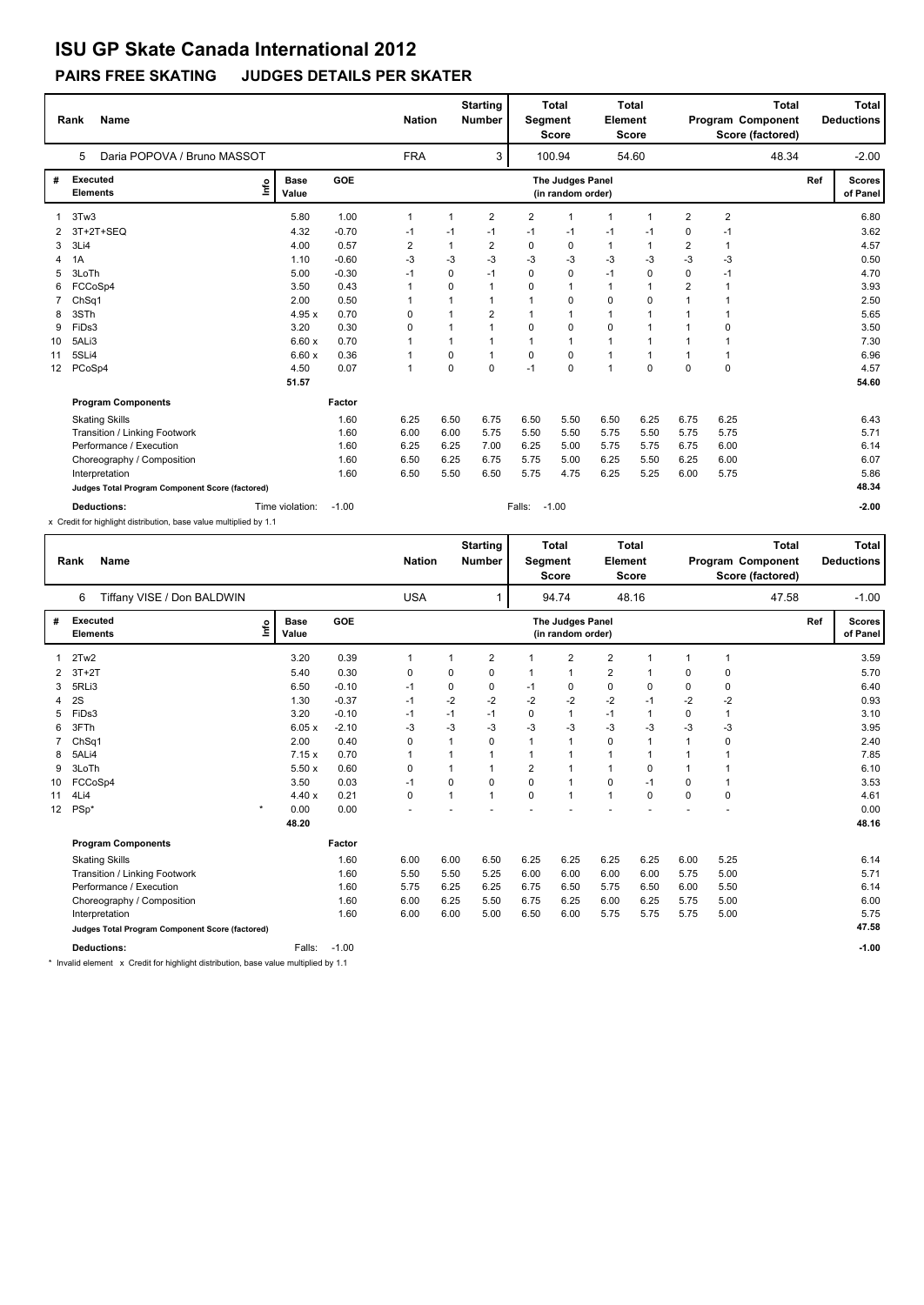### **PAIRS FREE SKATING JUDGES DETAILS PER SKATER**

|                 | <b>Name</b><br>Rank                             |                              |         | <b>Nation</b>           |      | <b>Starting</b><br><b>Number</b> | Segment        | <b>Total</b><br><b>Score</b>          | Element        | <b>Total</b><br><b>Score</b> |                | <b>Total</b><br>Program Component<br>Score (factored) |     | Total<br><b>Deductions</b> |
|-----------------|-------------------------------------------------|------------------------------|---------|-------------------------|------|----------------------------------|----------------|---------------------------------------|----------------|------------------------------|----------------|-------------------------------------------------------|-----|----------------------------|
|                 | Daria POPOVA / Bruno MASSOT<br>5                |                              |         | <b>FRA</b>              |      | 3                                |                | 100.94                                |                | 54.60                        |                | 48.34                                                 |     | $-2.00$                    |
| #               | <b>Executed</b><br><b>Elements</b>              | <b>Base</b><br>lnfo<br>Value | GOE     |                         |      |                                  |                | The Judges Panel<br>(in random order) |                |                              |                |                                                       | Ref | <b>Scores</b><br>of Panel  |
|                 | 3Tw3                                            | 5.80                         | 1.00    | 1                       | 1    | $\overline{2}$                   | $\overline{2}$ | -1                                    | $\overline{1}$ | $\mathbf 1$                  | $\overline{2}$ | $\overline{2}$                                        |     | 6.80                       |
| 2               | 3T+2T+SEQ                                       | 4.32                         | $-0.70$ | $-1$                    | $-1$ | -1                               | $-1$           | $-1$                                  | $-1$           | -1                           | $\mathbf 0$    | $-1$                                                  |     | 3.62                       |
| 3               | 3Li4                                            | 4.00                         | 0.57    | $\overline{\mathbf{c}}$ | 1    | $\overline{2}$                   | 0              | 0                                     | $\mathbf{1}$   | 1                            | $\overline{2}$ | 1                                                     |     | 4.57                       |
| 4               | 1A                                              | 1.10                         | $-0.60$ | -3                      | $-3$ | -3                               | -3             | -3                                    | $-3$           | $-3$                         | $-3$           | $-3$                                                  |     | 0.50                       |
| 5               | 3LoTh                                           | 5.00                         | $-0.30$ | $-1$                    | 0    | $-1$                             | 0              | 0                                     | $-1$           | 0                            | 0              | $-1$                                                  |     | 4.70                       |
| 6               | FCCoSp4                                         | 3.50                         | 0.43    |                         | 0    | $\mathbf{1}$                     | $\Omega$       | $\overline{1}$                        | $\mathbf{1}$   | $\mathbf 1$                  | $\overline{2}$ |                                                       |     | 3.93                       |
|                 | ChSq1                                           | 2.00                         | 0.50    |                         |      | 1                                |                | 0                                     | 0              | 0                            |                |                                                       |     | 2.50                       |
| 8               | 3STh                                            | 4.95x                        | 0.70    | 0                       |      | $\overline{2}$                   |                | $\overline{1}$                        | 1              | $\mathbf 1$                  |                |                                                       |     | 5.65                       |
| 9               | FiDs3                                           | 3.20                         | 0.30    | 0                       |      | 1                                | 0              | $\mathbf 0$                           | 0              | 1                            |                | 0                                                     |     | 3.50                       |
| 10              | 5ALi3                                           | 6.60x                        | 0.70    |                         |      | -1                               | $\mathbf 1$    | $\overline{1}$                        | 1              | $\overline{1}$               |                |                                                       |     | 7.30                       |
| 11              | 5SLi4                                           | 6.60x                        | 0.36    |                         | 0    | $\mathbf{1}$                     | 0              | 0                                     | $\mathbf{1}$   | $\mathbf{1}$                 |                | 1                                                     |     | 6.96                       |
| 12 <sup>2</sup> | PCoSp4                                          | 4.50                         | 0.07    | 1                       | 0    | $\Omega$                         | $-1$           | $\Omega$                              | $\overline{1}$ | $\Omega$                     | $\Omega$       | $\mathbf 0$                                           |     | 4.57                       |
|                 |                                                 | 51.57                        |         |                         |      |                                  |                |                                       |                |                              |                |                                                       |     | 54.60                      |
|                 | <b>Program Components</b>                       |                              | Factor  |                         |      |                                  |                |                                       |                |                              |                |                                                       |     |                            |
|                 | <b>Skating Skills</b>                           |                              | 1.60    | 6.25                    | 6.50 | 6.75                             | 6.50           | 5.50                                  | 6.50           | 6.25                         | 6.75           | 6.25                                                  |     | 6.43                       |
|                 | <b>Transition / Linking Footwork</b>            |                              | 1.60    | 6.00                    | 6.00 | 5.75                             | 5.50           | 5.50                                  | 5.75           | 5.50                         | 5.75           | 5.75                                                  |     | 5.71                       |
|                 | Performance / Execution                         |                              | 1.60    | 6.25                    | 6.25 | 7.00                             | 6.25           | 5.00                                  | 5.75           | 5.75                         | 6.75           | 6.00                                                  |     | 6.14                       |
|                 | Choreography / Composition                      |                              | 1.60    | 6.50                    | 6.25 | 6.75                             | 5.75           | 5.00                                  | 6.25           | 5.50                         | 6.25           | 6.00                                                  |     | 6.07                       |
|                 | Interpretation                                  |                              | 1.60    | 6.50                    | 5.50 | 6.50                             | 5.75           | 4.75                                  | 6.25           | 5.25                         | 6.00           | 5.75                                                  |     | 5.86                       |
|                 | Judges Total Program Component Score (factored) |                              |         |                         |      |                                  |                |                                       |                |                              |                |                                                       |     | 48.34                      |
|                 | <b>Deductions:</b>                              | Time violation:              | $-1.00$ |                         |      |                                  | Falls:         | $-1.00$                               |                |                              |                |                                                       |     | $-2.00$                    |

x Credit for highlight distribution, base value multiplied by 1.1

|    | <b>Name</b><br>Rank                             |         |                      |            |                |                |      |                |                                       | <b>Nation</b>           | <b>Starting</b><br><b>Number</b> |                | <b>Total</b><br><b>Segment</b><br><b>Score</b> | Element | <b>Total</b><br><b>Score</b> |                           | Program Component<br>Score (factored) | <b>Total</b> |  | Total<br><b>Deductions</b> |
|----|-------------------------------------------------|---------|----------------------|------------|----------------|----------------|------|----------------|---------------------------------------|-------------------------|----------------------------------|----------------|------------------------------------------------|---------|------------------------------|---------------------------|---------------------------------------|--------------|--|----------------------------|
|    | 6<br>Tiffany VISE / Don BALDWIN                 |         |                      |            | <b>USA</b>     |                | 1    |                | 94.74                                 |                         | 48.16                            |                |                                                | 47.58   |                              | $-1.00$                   |                                       |              |  |                            |
| #  | <b>Executed</b><br><b>Elements</b>              | ١nf٥    | <b>Base</b><br>Value | <b>GOE</b> |                |                |      |                | The Judges Panel<br>(in random order) |                         |                                  |                |                                                |         | Ref                          | <b>Scores</b><br>of Panel |                                       |              |  |                            |
|    | 2Tw2                                            |         | 3.20                 | 0.39       | $\overline{1}$ | $\overline{1}$ | 2    |                | 2                                     | $\overline{2}$          | $\overline{1}$                   | $\overline{1}$ | 1                                              |         |                              | 3.59                      |                                       |              |  |                            |
| 2  | $3T+2T$                                         |         | 5.40                 | 0.30       | 0              | 0              | 0    |                | 1                                     | $\overline{\mathbf{c}}$ | 1                                | 0              | 0                                              |         |                              | 5.70                      |                                       |              |  |                            |
| 3  | 5RLi3                                           |         | 6.50                 | $-0.10$    | $-1$           | 0              | 0    | -1             | 0                                     | $\mathbf 0$             | 0                                | 0              | 0                                              |         |                              | 6.40                      |                                       |              |  |                            |
| 4  | 2S                                              |         | 1.30                 | $-0.37$    | $-1$           | $-2$           | $-2$ | $-2$           | $-2$                                  | $-2$                    | $-1$                             | $-2$           | $-2$                                           |         |                              | 0.93                      |                                       |              |  |                            |
| 5  | FiDs3                                           |         | 3.20                 | $-0.10$    | $-1$           | $-1$           | $-1$ | 0              | $\mathbf{1}$                          | $-1$                    | $\mathbf{1}$                     | 0              | $\mathbf{1}$                                   |         |                              | 3.10                      |                                       |              |  |                            |
| 6  | 3FTh                                            |         | 6.05x                | $-2.10$    | $-3$           | $-3$           | -3   | $-3$           | $-3$                                  | $-3$                    | $-3$                             | $-3$           | $-3$                                           |         |                              | 3.95                      |                                       |              |  |                            |
| 7  | ChSq1                                           |         | 2.00                 | 0.40       | 0              | $\mathbf{1}$   | 0    | $\mathbf{1}$   | $\mathbf{1}$                          | $\mathbf 0$             | 1                                | $\mathbf 1$    | 0                                              |         |                              | 2.40                      |                                       |              |  |                            |
| 8  | 5ALi4                                           |         | 7.15x                | 0.70       | $\mathbf 1$    | 1              | 1    | 1              | $\mathbf{1}$                          | 1                       | 1                                | $\mathbf 1$    | $\mathbf 1$                                    |         |                              | 7.85                      |                                       |              |  |                            |
| 9  | 3LoTh                                           |         | 5.50x                | 0.60       | 0              | 1              |      | $\overline{2}$ | $\mathbf{1}$                          | $\mathbf{1}$            | 0                                |                | 1                                              |         |                              | 6.10                      |                                       |              |  |                            |
| 10 | FCCoSp4                                         |         | 3.50                 | 0.03       | $-1$           | 0              | 0    | 0              | $\mathbf{1}$                          | 0                       | $-1$                             | 0              | 1                                              |         |                              | 3.53                      |                                       |              |  |                            |
| 11 | 4Li4                                            |         | 4.40x                | 0.21       | $\mathbf 0$    | 1              | 1    | 0              | $\mathbf{1}$                          | $\mathbf{1}$            | $\Omega$                         | $\Omega$       | 0                                              |         |                              | 4.61                      |                                       |              |  |                            |
| 12 | $PSp*$                                          | $\star$ | 0.00                 | 0.00       |                |                |      |                |                                       |                         |                                  |                |                                                |         |                              | 0.00                      |                                       |              |  |                            |
|    |                                                 |         | 48.20                |            |                |                |      |                |                                       |                         |                                  |                |                                                |         |                              | 48.16                     |                                       |              |  |                            |
|    | <b>Program Components</b>                       |         |                      | Factor     |                |                |      |                |                                       |                         |                                  |                |                                                |         |                              |                           |                                       |              |  |                            |
|    | <b>Skating Skills</b>                           |         |                      | 1.60       | 6.00           | 6.00           | 6.50 | 6.25           | 6.25                                  | 6.25                    | 6.25                             | 6.00           | 5.25                                           |         |                              | 6.14                      |                                       |              |  |                            |
|    | Transition / Linking Footwork                   |         |                      | 1.60       | 5.50           | 5.50           | 5.25 | 6.00           | 6.00                                  | 6.00                    | 6.00                             | 5.75           | 5.00                                           |         |                              | 5.71                      |                                       |              |  |                            |
|    | Performance / Execution                         |         |                      | 1.60       | 5.75           | 6.25           | 6.25 | 6.75           | 6.50                                  | 5.75                    | 6.50                             | 6.00           | 5.50                                           |         |                              | 6.14                      |                                       |              |  |                            |
|    | Choreography / Composition                      |         |                      | 1.60       | 6.00           | 6.25           | 5.50 | 6.75           | 6.25                                  | 6.00                    | 6.25                             | 5.75           | 5.00                                           |         |                              | 6.00                      |                                       |              |  |                            |
|    | Interpretation                                  |         |                      | 1.60       | 6.00           | 6.00           | 5.00 | 6.50           | 6.00                                  | 5.75                    | 5.75                             | 5.75           | 5.00                                           |         |                              | 5.75                      |                                       |              |  |                            |
|    | Judges Total Program Component Score (factored) |         |                      |            |                |                |      |                |                                       |                         |                                  |                |                                                |         |                              | 47.58                     |                                       |              |  |                            |
|    | <b>Deductions:</b>                              |         | Falls:               | $-1.00$    |                |                |      |                |                                       |                         |                                  |                |                                                |         |                              | $-1.00$                   |                                       |              |  |                            |

\* Invalid element x Credit for highlight distribution, base value multiplied by 1.1